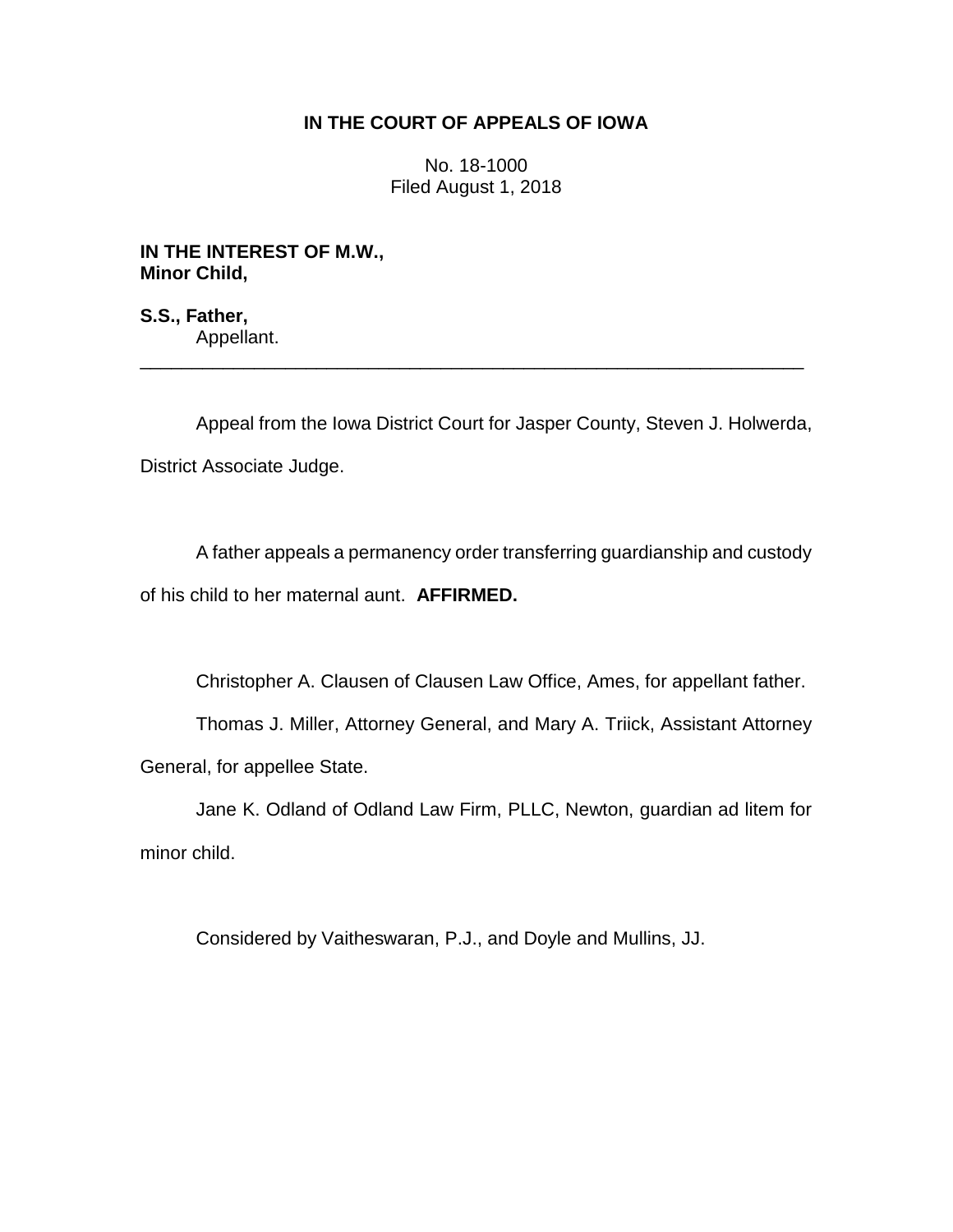## **IN THE COURT OF APPEALS OF IOWA**

No. 18-1000 Filed August 1, 2018

**IN THE INTEREST OF M.W., Minor Child,**

**S.S., Father,** Appellant. \_\_\_\_\_\_\_\_\_\_\_\_\_\_\_\_\_\_\_\_\_\_\_\_\_\_\_\_\_\_\_\_\_\_\_\_\_\_\_\_\_\_\_\_\_\_\_\_\_\_\_\_\_\_\_\_\_\_\_\_\_\_\_\_

Appeal from the Iowa District Court for Jasper County, Steven J. Holwerda, District Associate Judge.

A father appeals a permanency order transferring guardianship and custody of his child to her maternal aunt. **AFFIRMED.**

Christopher A. Clausen of Clausen Law Office, Ames, for appellant father.

Thomas J. Miller, Attorney General, and Mary A. Triick, Assistant Attorney General, for appellee State.

Jane K. Odland of Odland Law Firm, PLLC, Newton, guardian ad litem for minor child.

Considered by Vaitheswaran, P.J., and Doyle and Mullins, JJ.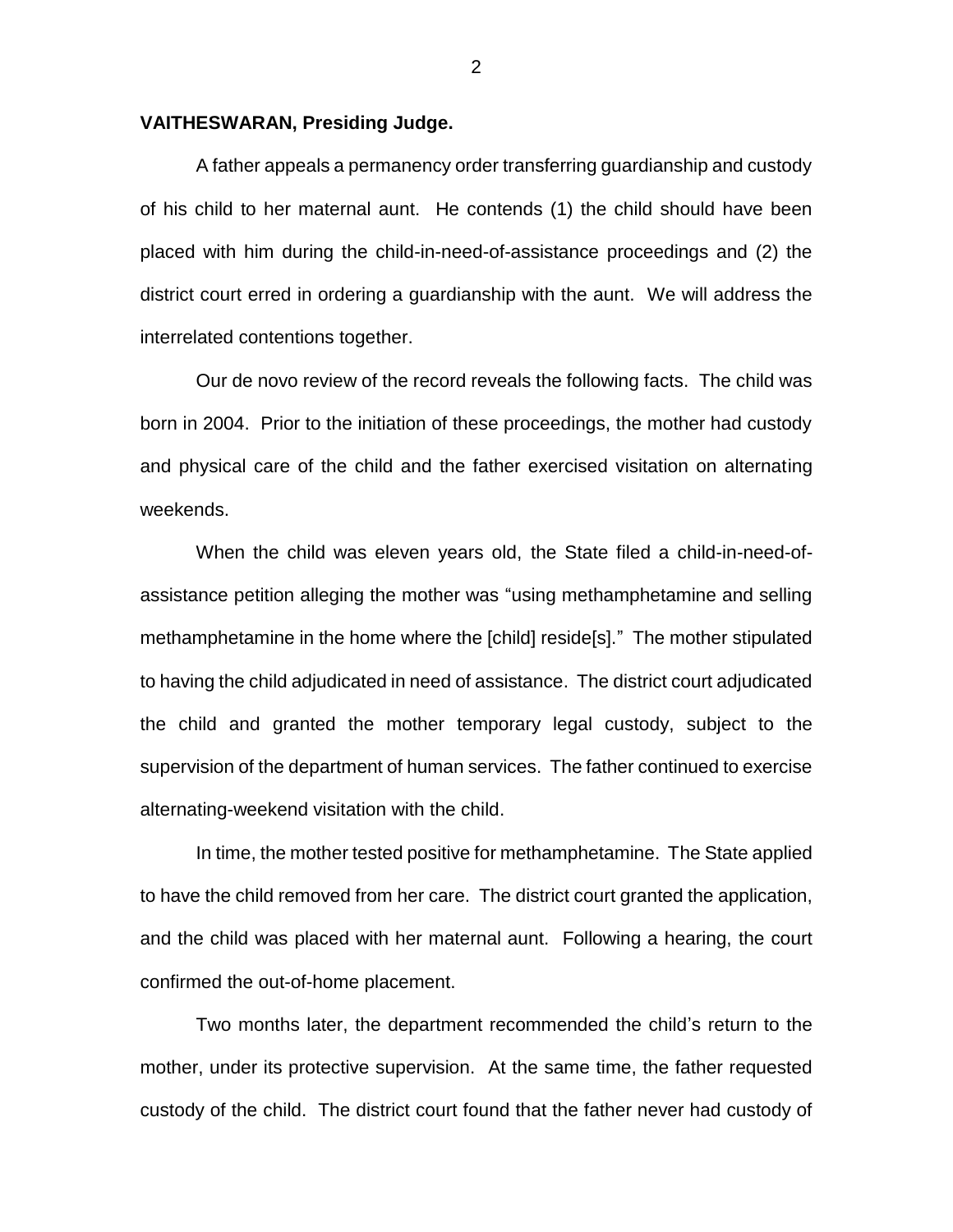## **VAITHESWARAN, Presiding Judge.**

A father appeals a permanency order transferring guardianship and custody of his child to her maternal aunt. He contends (1) the child should have been placed with him during the child-in-need-of-assistance proceedings and (2) the district court erred in ordering a guardianship with the aunt. We will address the interrelated contentions together.

Our de novo review of the record reveals the following facts. The child was born in 2004.Prior to the initiation of these proceedings, the mother had custody and physical care of the child and the father exercised visitation on alternating weekends.

When the child was eleven years old, the State filed a child-in-need-ofassistance petition alleging the mother was "using methamphetamine and selling methamphetamine in the home where the [child] reside[s]." The mother stipulated to having the child adjudicated in need of assistance. The district court adjudicated the child and granted the mother temporary legal custody, subject to the supervision of the department of human services. The father continued to exercise alternating-weekend visitation with the child.

In time, the mother tested positive for methamphetamine. The State applied to have the child removed from her care. The district court granted the application, and the child was placed with her maternal aunt. Following a hearing, the court confirmed the out-of-home placement.

Two months later, the department recommended the child's return to the mother, under its protective supervision. At the same time, the father requested custody of the child. The district court found that the father never had custody of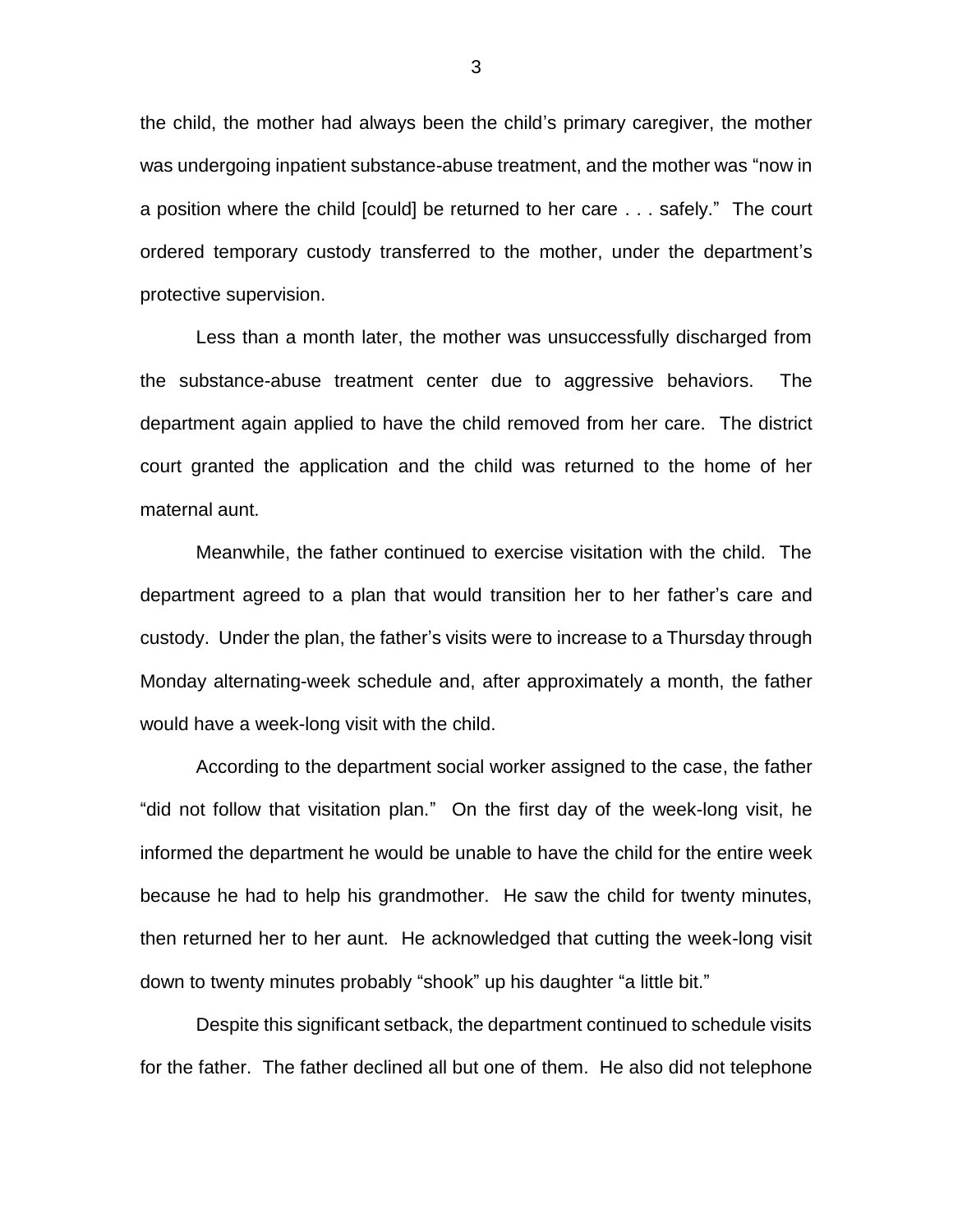the child, the mother had always been the child's primary caregiver, the mother was undergoing inpatient substance-abuse treatment, and the mother was "now in a position where the child [could] be returned to her care . . . safely." The court ordered temporary custody transferred to the mother, under the department's protective supervision.

Less than a month later, the mother was unsuccessfully discharged from the substance-abuse treatment center due to aggressive behaviors. The department again applied to have the child removed from her care. The district court granted the application and the child was returned to the home of her maternal aunt.

Meanwhile, the father continued to exercise visitation with the child. The department agreed to a plan that would transition her to her father's care and custody. Under the plan, the father's visits were to increase to a Thursday through Monday alternating-week schedule and, after approximately a month, the father would have a week-long visit with the child.

According to the department social worker assigned to the case, the father "did not follow that visitation plan." On the first day of the week-long visit, he informed the department he would be unable to have the child for the entire week because he had to help his grandmother. He saw the child for twenty minutes, then returned her to her aunt. He acknowledged that cutting the week-long visit down to twenty minutes probably "shook" up his daughter "a little bit."

Despite this significant setback, the department continued to schedule visits for the father. The father declined all but one of them. He also did not telephone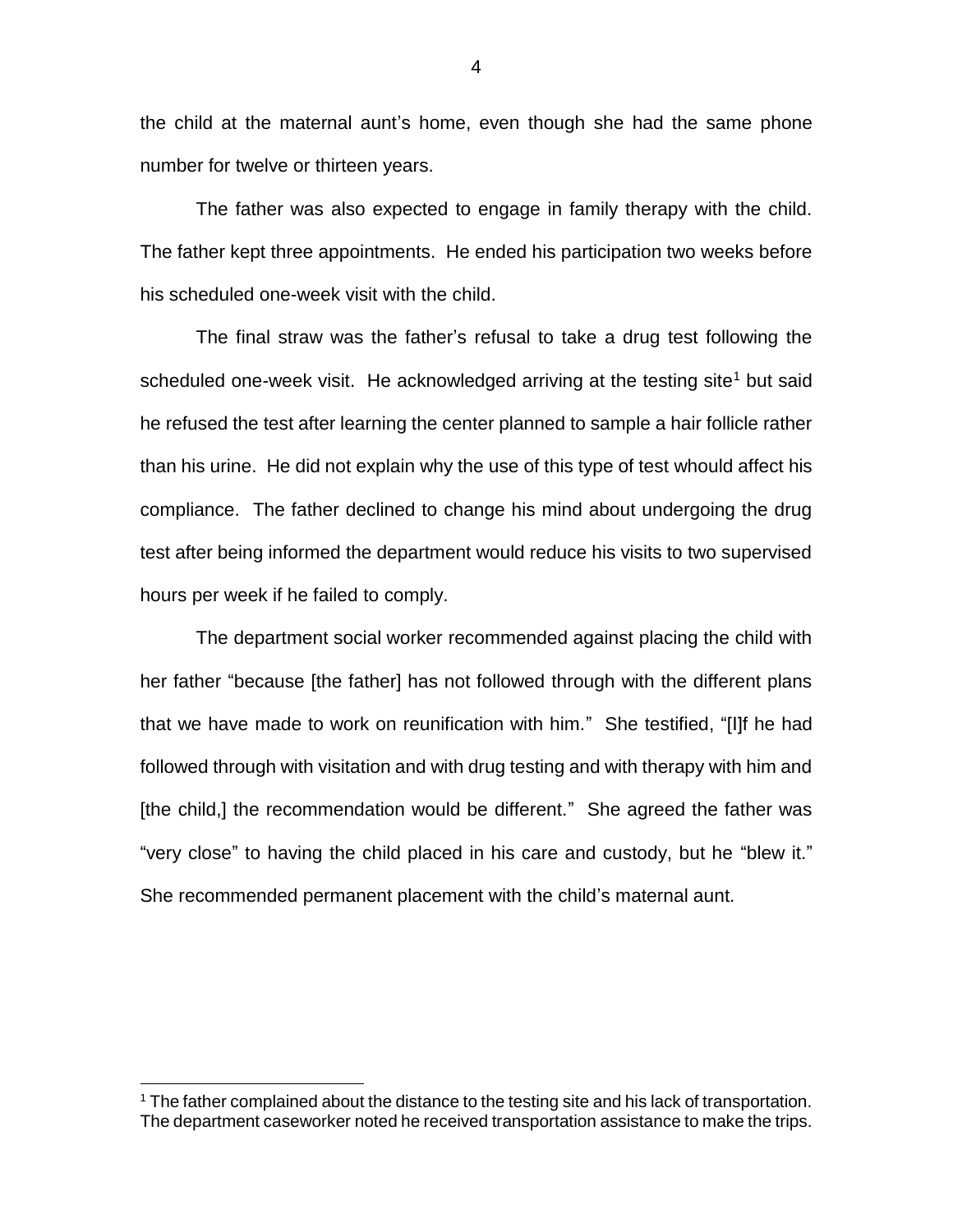the child at the maternal aunt's home, even though she had the same phone number for twelve or thirteen years.

The father was also expected to engage in family therapy with the child. The father kept three appointments. He ended his participation two weeks before his scheduled one-week visit with the child.

The final straw was the father's refusal to take a drug test following the scheduled one-week visit. He acknowledged arriving at the testing site<sup>1</sup> but said he refused the test after learning the center planned to sample a hair follicle rather than his urine. He did not explain why the use of this type of test whould affect his compliance. The father declined to change his mind about undergoing the drug test after being informed the department would reduce his visits to two supervised hours per week if he failed to comply.

The department social worker recommended against placing the child with her father "because [the father] has not followed through with the different plans that we have made to work on reunification with him." She testified, "[I]f he had followed through with visitation and with drug testing and with therapy with him and [the child,] the recommendation would be different." She agreed the father was "very close" to having the child placed in his care and custody, but he "blew it." She recommended permanent placement with the child's maternal aunt.

 $\overline{a}$ 

4

<sup>&</sup>lt;sup>1</sup> The father complained about the distance to the testing site and his lack of transportation. The department caseworker noted he received transportation assistance to make the trips.